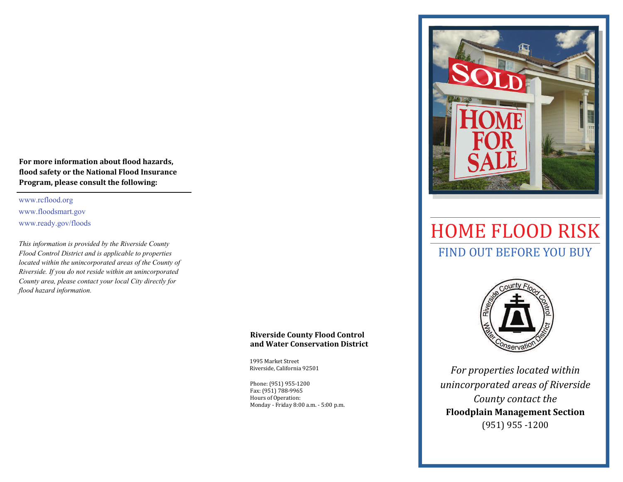**For more information about ϐlood hazards, ϐlood safety or the National Flood Insurance Program, please consult the following:**

www.rcflood.org www.floodsmart.gov www.ready.gov/floods

*This information is provided by the Riverside County Flood Control District and is applicable to properties located within the unincorporated areas of the County of Riverside. If you do not reside within an unincorporated County area, please contact your local City directly for flood hazard information.* 

## **Riverside County Flood Control and Water Conservation District**

1995 Market Street Riverside, California 92501

Phone: (951) 955-1200 Fax: (951) 788-9965 Hours of Operation: Monday - Friday 8:00 a.m. - 5:00 p.m.



# FIND OUT BEFORE YOU BUY HOME FLOOD RISK



*For properties located within unincorporated areas of Riverside County contact the* **Floodplain Management Section** (951) 955 ‐1200